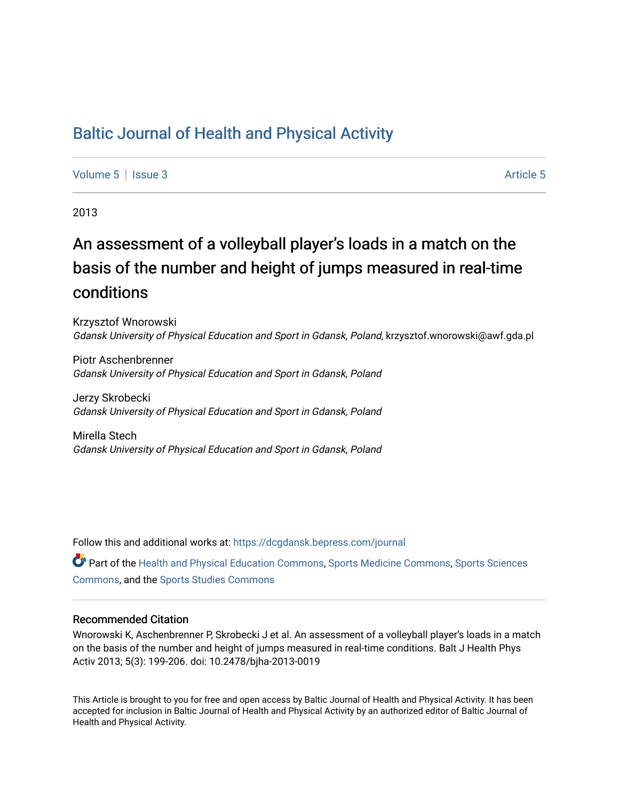# [Baltic Journal of Health and Physical Activity](https://dcgdansk.bepress.com/journal)

[Volume 5](https://dcgdansk.bepress.com/journal/vol5) | [Issue 3](https://dcgdansk.bepress.com/journal/vol5/iss3) [Article 5](https://dcgdansk.bepress.com/journal/vol5/iss3/5) | Article 5 Article 5 | Article 5 | Article 5 | Article 5 | Article 5 | Article 5

2013

# An assessment of a volleyball player's loads in a match on the basis of the number and height of jumps measured in real-time conditions

Krzysztof Wnorowski Gdansk University of Physical Education and Sport in Gdansk, Poland, krzysztof.wnorowski@awf.gda.pl

Piotr Aschenbrenner Gdansk University of Physical Education and Sport in Gdansk, Poland

Jerzy Skrobecki Gdansk University of Physical Education and Sport in Gdansk, Poland

Mirella Stech Gdansk University of Physical Education and Sport in Gdansk, Poland

Follow this and additional works at: [https://dcgdansk.bepress.com/journal](https://dcgdansk.bepress.com/journal?utm_source=dcgdansk.bepress.com%2Fjournal%2Fvol5%2Fiss3%2F5&utm_medium=PDF&utm_campaign=PDFCoverPages)

Part of the [Health and Physical Education Commons](http://network.bepress.com/hgg/discipline/1327?utm_source=dcgdansk.bepress.com%2Fjournal%2Fvol5%2Fiss3%2F5&utm_medium=PDF&utm_campaign=PDFCoverPages), [Sports Medicine Commons,](http://network.bepress.com/hgg/discipline/1331?utm_source=dcgdansk.bepress.com%2Fjournal%2Fvol5%2Fiss3%2F5&utm_medium=PDF&utm_campaign=PDFCoverPages) [Sports Sciences](http://network.bepress.com/hgg/discipline/759?utm_source=dcgdansk.bepress.com%2Fjournal%2Fvol5%2Fiss3%2F5&utm_medium=PDF&utm_campaign=PDFCoverPages) [Commons](http://network.bepress.com/hgg/discipline/759?utm_source=dcgdansk.bepress.com%2Fjournal%2Fvol5%2Fiss3%2F5&utm_medium=PDF&utm_campaign=PDFCoverPages), and the [Sports Studies Commons](http://network.bepress.com/hgg/discipline/1198?utm_source=dcgdansk.bepress.com%2Fjournal%2Fvol5%2Fiss3%2F5&utm_medium=PDF&utm_campaign=PDFCoverPages) 

#### Recommended Citation

Wnorowski K, Aschenbrenner P, Skrobecki J et al. An assessment of a volleyball player's loads in a match on the basis of the number and height of jumps measured in real-time conditions. Balt J Health Phys Activ 2013; 5(3): 199-206. doi: 10.2478/bjha-2013-0019

This Article is brought to you for free and open access by Baltic Journal of Health and Physical Activity. It has been accepted for inclusion in Baltic Journal of Health and Physical Activity by an authorized editor of Baltic Journal of Health and Physical Activity.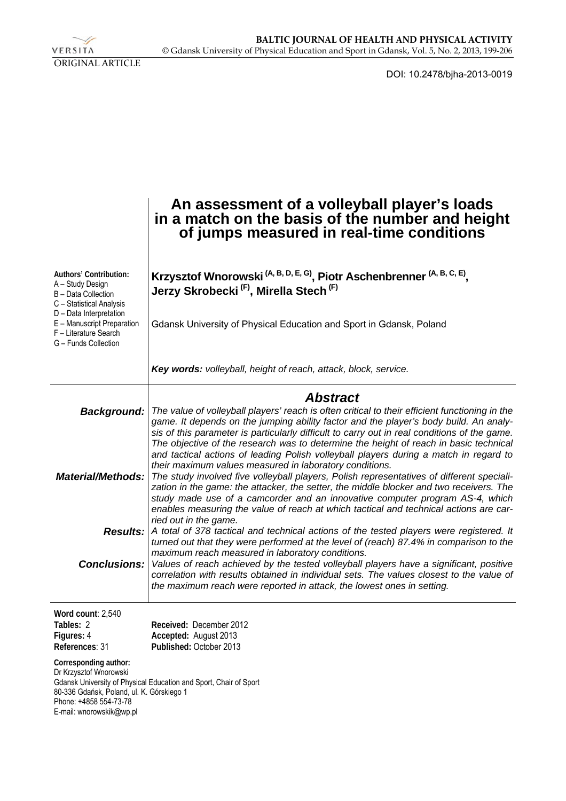

DOI: 10.2478/bjha-2013-0019

|                                                                                                                                                                                                                      | An assessment of a volleyball player's loads<br>in a match on the basis of the number and height<br>of jumps measured in real-time conditions                                                                                                                                                                                                                                                                                                                                                                                                                                                                                                                                                                                                                                                                                                                                                                                                                                                                                                                                                                                                                                                                                                                                                                                                                                                                                                              |  |  |  |  |  |
|----------------------------------------------------------------------------------------------------------------------------------------------------------------------------------------------------------------------|------------------------------------------------------------------------------------------------------------------------------------------------------------------------------------------------------------------------------------------------------------------------------------------------------------------------------------------------------------------------------------------------------------------------------------------------------------------------------------------------------------------------------------------------------------------------------------------------------------------------------------------------------------------------------------------------------------------------------------------------------------------------------------------------------------------------------------------------------------------------------------------------------------------------------------------------------------------------------------------------------------------------------------------------------------------------------------------------------------------------------------------------------------------------------------------------------------------------------------------------------------------------------------------------------------------------------------------------------------------------------------------------------------------------------------------------------------|--|--|--|--|--|
| Authors' Contribution:<br>A - Study Design<br>B - Data Collection<br>C - Statistical Analysis<br>D - Data Interpretation<br>E - Manuscript Preparation<br>F - Literature Search<br>G - Funds Collection              | Krzysztof Wnorowski <sup>(A, B, D, E, G)</sup> , Piotr Aschenbrenner <sup>(A, B, C, E)</sup> ,<br>Jerzy Skrobecki <sup>(F)</sup> , Mirella Stech <sup>(F)</sup><br>Gdansk University of Physical Education and Sport in Gdansk, Poland                                                                                                                                                                                                                                                                                                                                                                                                                                                                                                                                                                                                                                                                                                                                                                                                                                                                                                                                                                                                                                                                                                                                                                                                                     |  |  |  |  |  |
|                                                                                                                                                                                                                      | Key words: volleyball, height of reach, attack, block, service.                                                                                                                                                                                                                                                                                                                                                                                                                                                                                                                                                                                                                                                                                                                                                                                                                                                                                                                                                                                                                                                                                                                                                                                                                                                                                                                                                                                            |  |  |  |  |  |
| <b>Background:</b><br><b>Material/Methods:</b><br><b>Results:</b><br><b>Conclusions:</b>                                                                                                                             | <b>Abstract</b><br>The value of volleyball players' reach is often critical to their efficient functioning in the<br>game. It depends on the jumping ability factor and the player's body build. An analy-<br>sis of this parameter is particularly difficult to carry out in real conditions of the game.<br>The objective of the research was to determine the height of reach in basic technical<br>and tactical actions of leading Polish volleyball players during a match in regard to<br>their maximum values measured in laboratory conditions.<br>The study involved five volleyball players, Polish representatives of different speciali-<br>zation in the game: the attacker, the setter, the middle blocker and two receivers. The<br>study made use of a camcorder and an innovative computer program AS-4, which<br>enables measuring the value of reach at which tactical and technical actions are car-<br>ried out in the game.<br>A total of 378 tactical and technical actions of the tested players were registered. It<br>turned out that they were performed at the level of (reach) 87.4% in comparison to the<br>maximum reach measured in laboratory conditions.<br>Values of reach achieved by the tested volleyball players have a significant, positive<br>correlation with results obtained in individual sets. The values closest to the value of<br>the maximum reach were reported in attack, the lowest ones in setting. |  |  |  |  |  |
| Word count: 2,540<br>Tables: 2<br>Figures: 4<br>References: 31<br>Corresponding author:<br>Dr Krzysztof Wnorowski<br>80-336 Gdańsk, Poland, ul. K. Górskiego 1<br>Phone: +4858 554-73-78<br>E-mail: wnorowskik@wp.pl | Received: December 2012<br>Accepted: August 2013<br>Published: October 2013<br>Gdansk University of Physical Education and Sport, Chair of Sport                                                                                                                                                                                                                                                                                                                                                                                                                                                                                                                                                                                                                                                                                                                                                                                                                                                                                                                                                                                                                                                                                                                                                                                                                                                                                                           |  |  |  |  |  |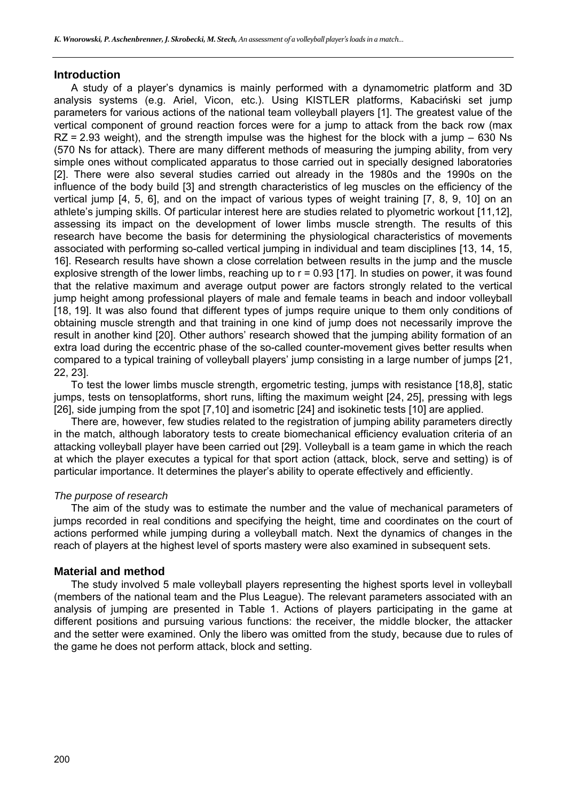#### **Introduction**

A study of a player's dynamics is mainly performed with a dynamometric platform and 3D analysis systems (e.g. Ariel, Vicon, etc.). Using KISTLER platforms, Kabaciński set jump parameters for various actions of the national team volleyball players [1]. The greatest value of the vertical component of ground reaction forces were for a jump to attack from the back row (max  $RZ = 2.93$  weight), and the strength impulse was the highest for the block with a jump – 630 Ns (570 Ns for attack). There are many different methods of measuring the jumping ability, from very simple ones without complicated apparatus to those carried out in specially designed laboratories [2]. There were also several studies carried out already in the 1980s and the 1990s on the influence of the body build [3] and strength characteristics of leg muscles on the efficiency of the vertical jump [4, 5, 6], and on the impact of various types of weight training [7, 8, 9, 10] on an athlete's jumping skills. Of particular interest here are studies related to plyometric workout [11,12], assessing its impact on the development of lower limbs muscle strength. The results of this research have become the basis for determining the physiological characteristics of movements associated with performing so-called vertical jumping in individual and team disciplines [13, 14, 15, 16]. Research results have shown a close correlation between results in the jump and the muscle explosive strength of the lower limbs, reaching up to  $r = 0.93$  [17]. In studies on power, it was found that the relative maximum and average output power are factors strongly related to the vertical jump height among professional players of male and female teams in beach and indoor volleyball [18, 19]. It was also found that different types of jumps require unique to them only conditions of obtaining muscle strength and that training in one kind of jump does not necessarily improve the result in another kind [20]. Other authors' research showed that the jumping ability formation of an extra load during the eccentric phase of the so-called counter-movement gives better results when compared to a typical training of volleyball players' jump consisting in a large number of jumps [21, 22, 23].

To test the lower limbs muscle strength, ergometric testing, jumps with resistance [18,8], static jumps, tests on tensoplatforms, short runs, lifting the maximum weight [24, 25], pressing with legs [26], side jumping from the spot [7,10] and isometric [24] and isokinetic tests [10] are applied.

There are, however, few studies related to the registration of jumping ability parameters directly in the match, although laboratory tests to create biomechanical efficiency evaluation criteria of an attacking volleyball player have been carried out [29]. Volleyball is a team game in which the reach at which the player executes a typical for that sport action (attack, block, serve and setting) is of particular importance. It determines the player's ability to operate effectively and efficiently.

#### *The purpose of research*

The aim of the study was to estimate the number and the value of mechanical parameters of jumps recorded in real conditions and specifying the height, time and coordinates on the court of actions performed while jumping during a volleyball match. Next the dynamics of changes in the reach of players at the highest level of sports mastery were also examined in subsequent sets.

# **Material and method**

The study involved 5 male volleyball players representing the highest sports level in volleyball (members of the national team and the Plus League). The relevant parameters associated with an analysis of jumping are presented in Table 1. Actions of players participating in the game at different positions and pursuing various functions: the receiver, the middle blocker, the attacker and the setter were examined. Only the libero was omitted from the study, because due to rules of the game he does not perform attack, block and setting.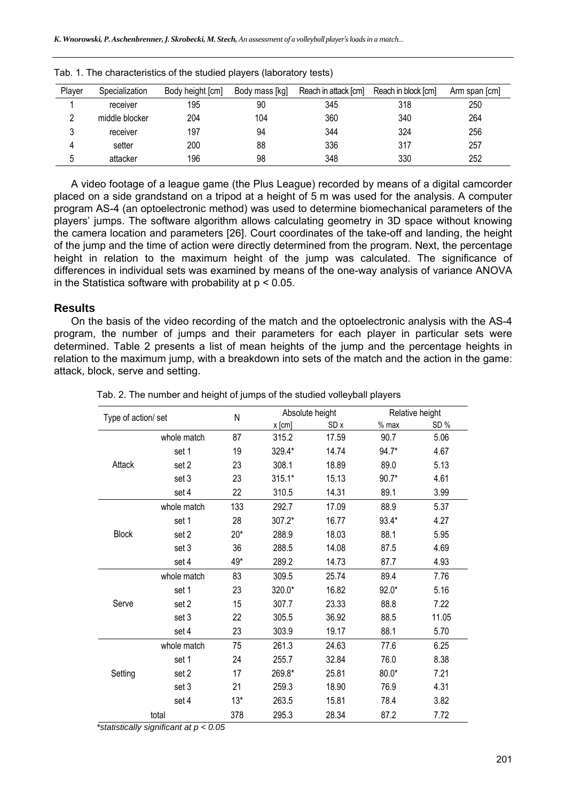| Player       | Specialization | Body height [cm] | Body mass [kg] | Reach in attack [cm] | Reach in block [cm] | Arm span [cm] |
|--------------|----------------|------------------|----------------|----------------------|---------------------|---------------|
|              | receiver       | 195              | 90             | 345                  | 318                 | 250           |
|              | middle blocker | 204              | 104            | 360                  | 340                 | 264           |
| າ            | receiver       | 197              | 94             | 344                  | 324                 | 256           |
| Д            | setter         | 200              | 88             | 336                  | 317                 | 257           |
| <sub>5</sub> | attacker       | 196              | 98             | 348                  | 330                 | 252           |

Tab. 1. The characteristics of the studied players (laboratory tests)

A video footage of a league game (the Plus League) recorded by means of a digital camcorder placed on a side grandstand on a tripod at a height of 5 m was used for the analysis. A computer program AS-4 (an optoelectronic method) was used to determine biomechanical parameters of the players' jumps. The software algorithm allows calculating geometry in 3D space without knowing the camera location and parameters [26]. Court coordinates of the take-off and landing, the height of the jump and the time of action were directly determined from the program. Next, the percentage height in relation to the maximum height of the jump was calculated. The significance of differences in individual sets was examined by means of the one-way analysis of variance ANOVA in the Statistica software with probability at  $p < 0.05$ .

# **Results**

On the basis of the video recording of the match and the optoelectronic analysis with the AS-4 program, the number of jumps and their parameters for each player in particular sets were determined. Table 2 presents a list of mean heights of the jump and the percentage heights in relation to the maximum jump, with a breakdown into sets of the match and the action in the game: attack, block, serve and setting.

| Type of action/ set                             |             | N                           | Absolute height |       | Relative height |       |
|-------------------------------------------------|-------------|-----------------------------|-----------------|-------|-----------------|-------|
|                                                 |             |                             | x [cm]          | SD x  | $%$ max         | SD%   |
|                                                 | whole match | 87                          | 315.2           | 17.59 | 90.7            | 5.06  |
|                                                 | set 1       | 19                          | 329.4*          | 14.74 | 94.7*           | 4.67  |
| Attack                                          | set 2       | 23                          | 308.1           | 18.89 | 89.0            | 5.13  |
|                                                 | set 3       | 23                          | $315.1*$        | 15.13 | $90.7*$         | 4.61  |
|                                                 | set 4       | 22                          | 310.5           | 14.31 | 89.1            | 3.99  |
|                                                 | whole match | 133                         | 292.7           | 17.09 | 88.9            | 5.37  |
|                                                 | set 1       | 28                          | 307.2*          | 16.77 | 93.4*           | 4.27  |
| <b>Block</b>                                    | set 2       | $20*$                       | 288.9           | 18.03 | 88.1            | 5.95  |
|                                                 | set 3       | 36                          | 288.5           | 14.08 | 87.5            | 4.69  |
|                                                 | set 4       | 49*                         | 289.2           | 14.73 | 87.7            | 4.93  |
|                                                 | whole match | 83                          | 309.5           | 25.74 | 89.4            | 7.76  |
|                                                 | set 1       | 23                          | 320.0*          | 16.82 | $92.0*$         | 5.16  |
| Serve                                           | set 2       | 15                          | 307.7           | 23.33 | 88.8            | 7.22  |
|                                                 | set 3       | 22                          | 305.5           | 36.92 | 88.5            | 11.05 |
|                                                 | set 4       | 23                          | 303.9           | 19.17 | 88.1            | 5.70  |
|                                                 | whole match | 75                          | 261.3           | 24.63 | 77.6            | 6.25  |
|                                                 | set 1       | 24                          | 255.7           | 32.84 | 76.0            | 8.38  |
| Setting                                         | set 2       | 17                          | 269.8*          | 25.81 | $80.0*$         | 7.21  |
|                                                 | set 3       | 21                          | 259.3           | 18.90 | 76.9            | 4.31  |
|                                                 | set 4       | $13*$                       | 263.5           | 15.81 | 78.4            | 3.82  |
| total<br>$* - 1 - 11 - 11 -$<br>$\cdot$ $\cdot$ |             | 378<br>$\sim$ $\sim$ $\sim$ | 295.3           | 28.34 | 87.2            | 7.72  |

Tab. 2. The number and height of jumps of the studied volleyball players

*\*statistically significant at p < 0.05*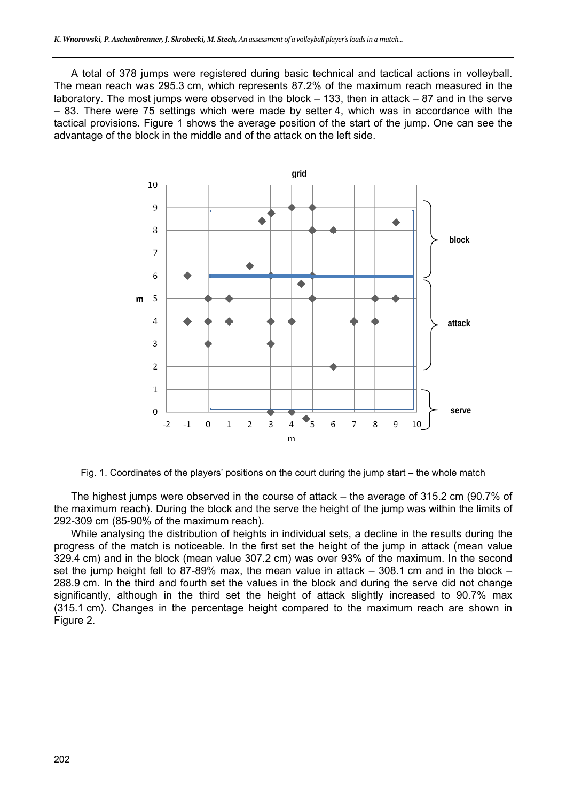A total of 378 jumps were registered during basic technical and tactical actions in volleyball. The mean reach was 295.3 cm, which represents 87.2% of the maximum reach measured in the laboratory. The most jumps were observed in the block  $-133$ , then in attack  $-87$  and in the serve – 83. There were 75 settings which were made by setter 4, which was in accordance with the tactical provisions. Figure 1 shows the average position of the start of the jump. One can see the advantage of the block in the middle and of the attack on the left side.



Fig. 1. Coordinates of the players' positions on the court during the jump start – the whole match

The highest jumps were observed in the course of attack – the average of 315.2 cm (90.7% of the maximum reach). During the block and the serve the height of the jump was within the limits of 292-309 cm (85-90% of the maximum reach).

While analysing the distribution of heights in individual sets, a decline in the results during the progress of the match is noticeable. In the first set the height of the jump in attack (mean value 329.4 cm) and in the block (mean value 307.2 cm) was over 93% of the maximum. In the second set the jump height fell to 87-89% max, the mean value in attack  $-$  308.1 cm and in the block  $-$ 288.9 cm. In the third and fourth set the values in the block and during the serve did not change significantly, although in the third set the height of attack slightly increased to 90.7% max (315.1 cm). Changes in the percentage height compared to the maximum reach are shown in Figure 2.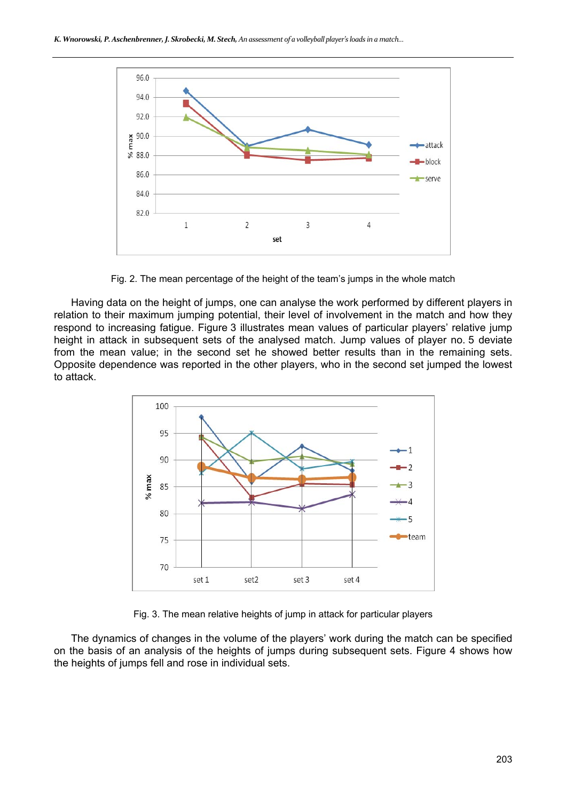

Fig. 2. The mean percentage of the height of the team's jumps in the whole match

Having data on the height of jumps, one can analyse the work performed by different players in relation to their maximum jumping potential, their level of involvement in the match and how they respond to increasing fatigue. Figure 3 illustrates mean values of particular players' relative jump height in attack in subsequent sets of the analysed match. Jump values of player no. 5 deviate from the mean value; in the second set he showed better results than in the remaining sets. Opposite dependence was reported in the other players, who in the second set jumped the lowest to attack.



Fig. 3. The mean relative heights of jump in attack for particular players

The dynamics of changes in the volume of the players' work during the match can be specified on the basis of an analysis of the heights of jumps during subsequent sets. Figure 4 shows how the heights of jumps fell and rose in individual sets.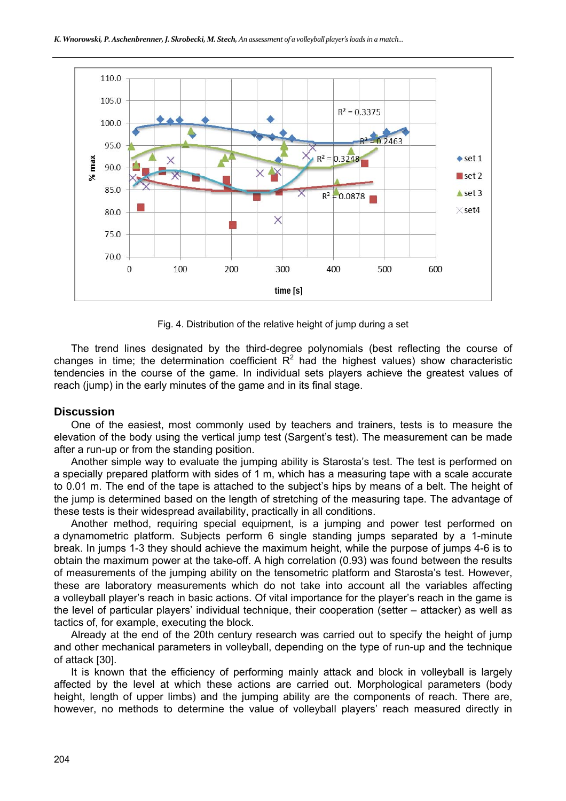

Fig. 4. Distribution of the relative height of jump during a set

The trend lines designated by the third-degree polynomials (best reflecting the course of changes in time; the determination coefficient  $R^2$  had the highest values) show characteristic tendencies in the course of the game. In individual sets players achieve the greatest values of reach (jump) in the early minutes of the game and in its final stage.

### **Discussion**

One of the easiest, most commonly used by teachers and trainers, tests is to measure the elevation of the body using the vertical jump test (Sargent's test). The measurement can be made after a run-up or from the standing position.

Another simple way to evaluate the jumping ability is Starosta's test. The test is performed on a specially prepared platform with sides of 1 m, which has a measuring tape with a scale accurate to 0.01 m. The end of the tape is attached to the subject's hips by means of a belt. The height of the jump is determined based on the length of stretching of the measuring tape. The advantage of these tests is their widespread availability, practically in all conditions.

Another method, requiring special equipment, is a jumping and power test performed on a dynamometric platform. Subjects perform 6 single standing jumps separated by a 1-minute break. In jumps 1-3 they should achieve the maximum height, while the purpose of jumps 4-6 is to obtain the maximum power at the take-off. A high correlation (0.93) was found between the results of measurements of the jumping ability on the tensometric platform and Starosta's test. However, these are laboratory measurements which do not take into account all the variables affecting a volleyball player's reach in basic actions. Of vital importance for the player's reach in the game is the level of particular players' individual technique, their cooperation (setter – attacker) as well as tactics of, for example, executing the block.

Already at the end of the 20th century research was carried out to specify the height of jump and other mechanical parameters in volleyball, depending on the type of run-up and the technique of attack [30].

It is known that the efficiency of performing mainly attack and block in volleyball is largely affected by the level at which these actions are carried out. Morphological parameters (body height, length of upper limbs) and the jumping ability are the components of reach. There are, however, no methods to determine the value of volleyball players' reach measured directly in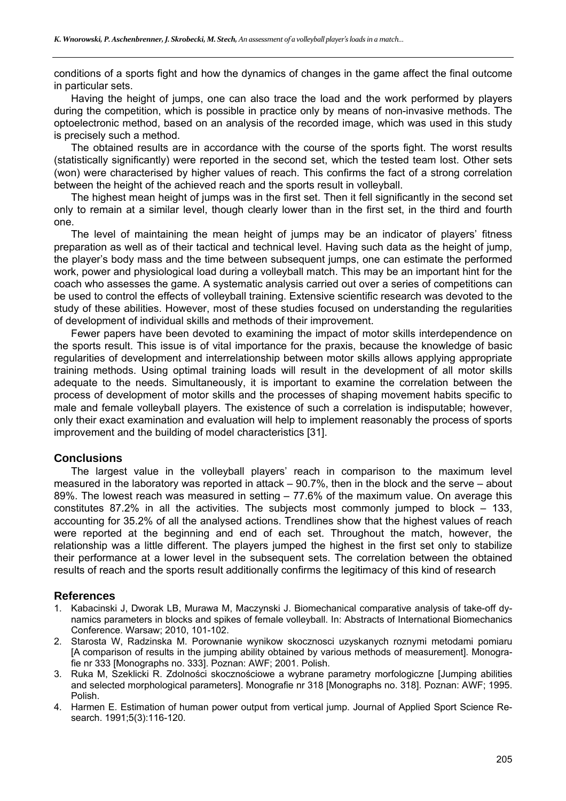conditions of a sports fight and how the dynamics of changes in the game affect the final outcome in particular sets.

Having the height of jumps, one can also trace the load and the work performed by players during the competition, which is possible in practice only by means of non-invasive methods. The optoelectronic method, based on an analysis of the recorded image, which was used in this study is precisely such a method.

The obtained results are in accordance with the course of the sports fight. The worst results (statistically significantly) were reported in the second set, which the tested team lost. Other sets (won) were characterised by higher values of reach. This confirms the fact of a strong correlation between the height of the achieved reach and the sports result in volleyball.

The highest mean height of jumps was in the first set. Then it fell significantly in the second set only to remain at a similar level, though clearly lower than in the first set, in the third and fourth one.

The level of maintaining the mean height of jumps may be an indicator of players' fitness preparation as well as of their tactical and technical level. Having such data as the height of jump, the player's body mass and the time between subsequent jumps, one can estimate the performed work, power and physiological load during a volleyball match. This may be an important hint for the coach who assesses the game. A systematic analysis carried out over a series of competitions can be used to control the effects of volleyball training. Extensive scientific research was devoted to the study of these abilities. However, most of these studies focused on understanding the regularities of development of individual skills and methods of their improvement.

Fewer papers have been devoted to examining the impact of motor skills interdependence on the sports result. This issue is of vital importance for the praxis, because the knowledge of basic regularities of development and interrelationship between motor skills allows applying appropriate training methods. Using optimal training loads will result in the development of all motor skills adequate to the needs. Simultaneously, it is important to examine the correlation between the process of development of motor skills and the processes of shaping movement habits specific to male and female volleyball players. The existence of such a correlation is indisputable; however, only their exact examination and evaluation will help to implement reasonably the process of sports improvement and the building of model characteristics [31].

# **Conclusions**

The largest value in the volleyball players' reach in comparison to the maximum level measured in the laboratory was reported in attack – 90.7%, then in the block and the serve – about 89%. The lowest reach was measured in setting – 77.6% of the maximum value. On average this constitutes 87.2% in all the activities. The subjects most commonly jumped to block – 133, accounting for 35.2% of all the analysed actions. Trendlines show that the highest values of reach were reported at the beginning and end of each set. Throughout the match, however, the relationship was a little different. The players jumped the highest in the first set only to stabilize their performance at a lower level in the subsequent sets. The correlation between the obtained results of reach and the sports result additionally confirms the legitimacy of this kind of research

#### **References**

- 1. Kabacinski J, Dworak LB, Murawa M, Maczynski J. Biomechanical comparative analysis of take-off dynamics parameters in blocks and spikes of female volleyball. In: Abstracts of International Biomechanics Conference. Warsaw; 2010, 101-102.
- 2. Starosta W, Radzinska M. Porownanie wynikow skocznosci uzyskanych roznymi metodami pomiaru [A comparison of results in the jumping ability obtained by various methods of measurement]. Monografie nr 333 [Monographs no. 333]. Poznan: AWF; 2001. Polish.
- 3. Ruka M, Szeklicki R. Zdolności skocznościowe a wybrane parametry morfologiczne [Jumping abilities and selected morphological parameters]. Monografie nr 318 [Monographs no. 318]. Poznan: AWF; 1995. Polish.
- 4. Harmen E. Estimation of human power output from vertical jump. Journal of Applied Sport Science Research. 1991;5(3):116-120.